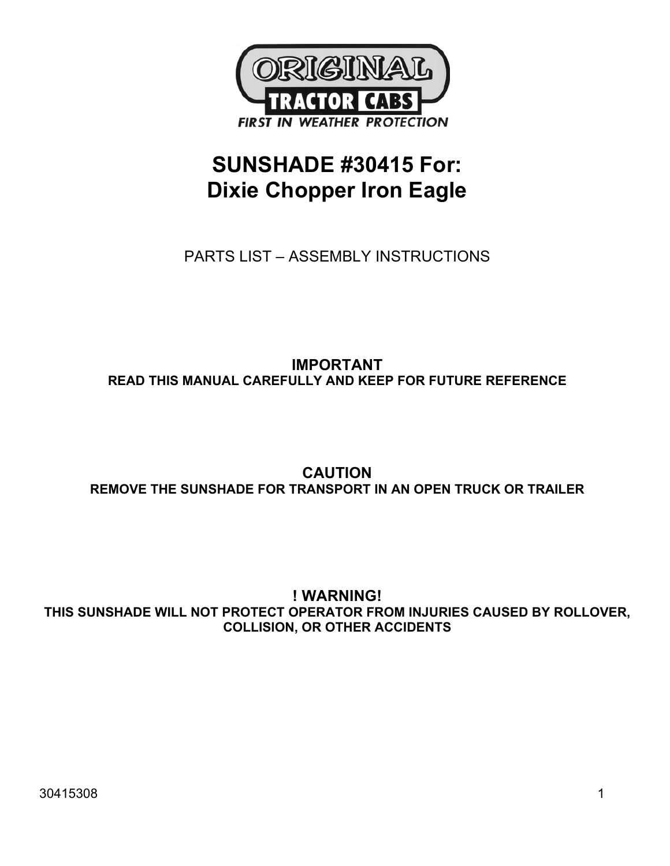

# **SUNSHADE #30415 For: Dixie Chopper Iron Eagle**

PARTS LIST – ASSEMBLY INSTRUCTIONS

## **IMPORTANT READ THIS MANUAL CAREFULLY AND KEEP FOR FUTURE REFERENCE**

## **CAUTION REMOVE THE SUNSHADE FOR TRANSPORT IN AN OPEN TRUCK OR TRAILER**

## **! WARNING! THIS SUNSHADE WILL NOT PROTECT OPERATOR FROM INJURIES CAUSED BY ROLLOVER, COLLISION, OR OTHER ACCIDENTS**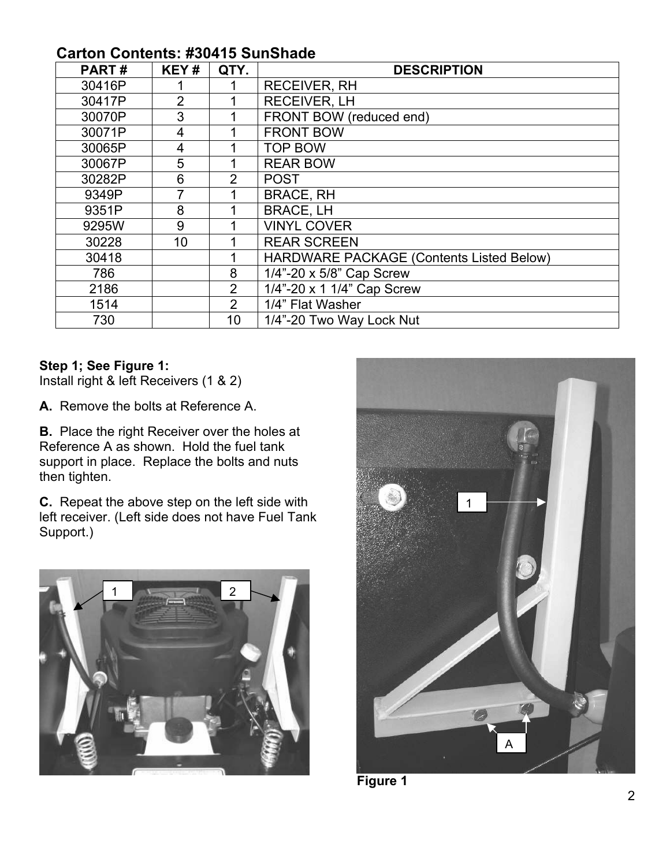## **Carton Contents: #30415 SunShade**

| PART#  | KEY#           | QTY.           | <b>DESCRIPTION</b>                       |
|--------|----------------|----------------|------------------------------------------|
| 30416P |                |                | <b>RECEIVER, RH</b>                      |
| 30417P | $\overline{2}$ |                | <b>RECEIVER, LH</b>                      |
| 30070P | 3              |                | FRONT BOW (reduced end)                  |
| 30071P | 4              |                | <b>FRONT BOW</b>                         |
| 30065P | 4              |                | <b>TOP BOW</b>                           |
| 30067P | 5              |                | <b>REAR BOW</b>                          |
| 30282P | 6              | $\overline{2}$ | <b>POST</b>                              |
| 9349P  |                |                | <b>BRACE, RH</b>                         |
| 9351P  | 8              |                | <b>BRACE, LH</b>                         |
| 9295W  | 9              |                | <b>VINYL COVER</b>                       |
| 30228  | 10             |                | <b>REAR SCREEN</b>                       |
| 30418  |                |                | HARDWARE PACKAGE (Contents Listed Below) |
| 786    |                | 8              | 1/4"-20 x 5/8" Cap Screw                 |
| 2186   |                | 2              | 1/4"-20 x 1 1/4" Cap Screw               |
| 1514   |                | $\overline{2}$ | 1/4" Flat Washer                         |
| 730    |                | 10             | 1/4"-20 Two Way Lock Nut                 |

### **Step 1; See Figure 1:**

Install right & left Receivers (1 & 2)

**A.** Remove the bolts at Reference A.

**B.** Place the right Receiver over the holes at Reference A as shown. Hold the fuel tank support in place. Replace the bolts and nuts then tighten.

**C.** Repeat the above step on the left side with left receiver. (Left side does not have Fuel Tank Support.)





**Figure 1**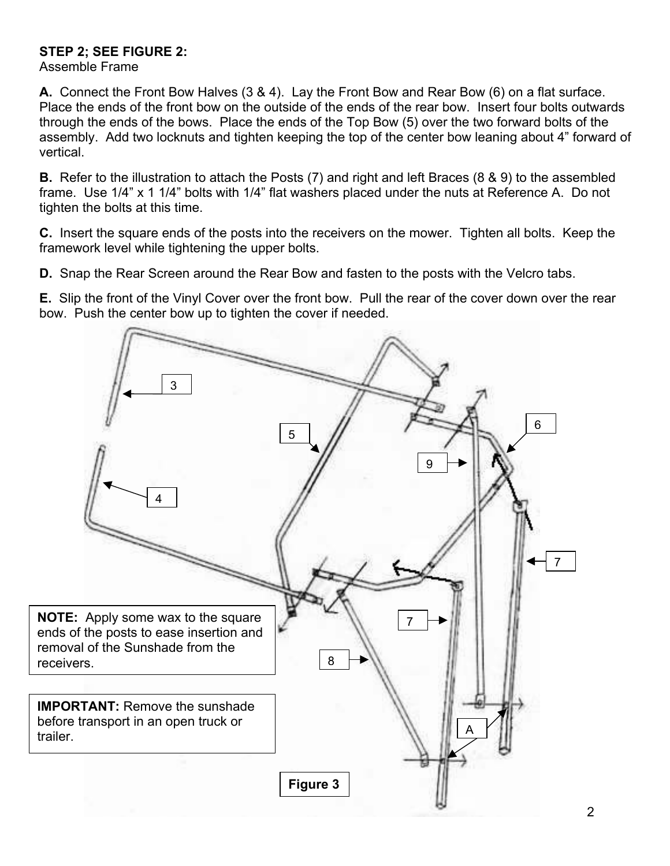### **STEP 2; SEE FIGURE 2:**

Assemble Frame

**A.** Connect the Front Bow Halves (3 & 4). Lay the Front Bow and Rear Bow (6) on a flat surface. Place the ends of the front bow on the outside of the ends of the rear bow. Insert four bolts outwards through the ends of the bows. Place the ends of the Top Bow (5) over the two forward bolts of the assembly. Add two locknuts and tighten keeping the top of the center bow leaning about 4" forward of vertical.

**B.** Refer to the illustration to attach the Posts (7) and right and left Braces (8 & 9) to the assembled frame. Use 1/4" x 1 1/4" bolts with 1/4" flat washers placed under the nuts at Reference A. Do not tighten the bolts at this time.

**C.** Insert the square ends of the posts into the receivers on the mower. Tighten all bolts. Keep the framework level while tightening the upper bolts.

**D.** Snap the Rear Screen around the Rear Bow and fasten to the posts with the Velcro tabs.

**E.** Slip the front of the Vinyl Cover over the front bow. Pull the rear of the cover down over the rear bow. Push the center bow up to tighten the cover if needed.